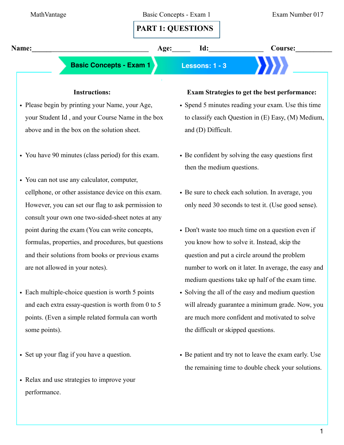

# • Please begin by printing your Name, your Age, your Student Id , and your Course Name in the box above and in the box on the solution sheet.

- You have 90 minutes (class period) for this exam.
- You can not use any calculator, computer, cellphone, or other assistance device on this exam. However, you can set our flag to ask permission to consult your own one two-sided-sheet notes at any point during the exam (You can write concepts, formulas, properties, and procedures, but questions and their solutions from books or previous exams are not allowed in your notes).
- Each multiple-choice question is worth 5 points and each extra essay-question is worth from 0 to 5 points. (Even a simple related formula can worth some points).
- Set up your flag if you have a question.
- Relax and use strategies to improve your performance.

## **Exam Strategies to get the best performance:**

- Spend 5 minutes reading your exam. Use this time to classify each Question in (E) Easy, (M) Medium, and (D) Difficult.
- Be confident by solving the easy questions first then the medium questions.
- Be sure to check each solution. In average, you only need 30 seconds to test it. (Use good sense).
- Don't waste too much time on a question even if you know how to solve it. Instead, skip the question and put a circle around the problem number to work on it later. In average, the easy and medium questions take up half of the exam time.
- Solving the all of the easy and medium question will already guarantee a minimum grade. Now, you are much more confident and motivated to solve the difficult or skipped questions.
- Be patient and try not to leave the exam early. Use the remaining time to double check your solutions.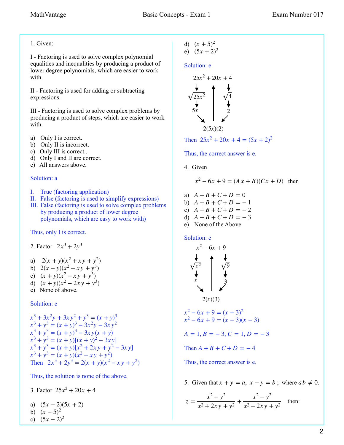## 1. Given:

I - Factoring is used to solve complex polynomial equalities and inequalities by producing a product of lower degree polynomials, which are easier to work with.

II - Factoring is used for adding or subtracting expressions.

III - Factoring is used to solve complex problems by producing a product of steps, which are easier to work with.

- a) Only I is correct.
- b) Only II is incorrect.
- c) Only III is correct..
- d) Only I and II are correct.
- e) All answers above.

#### Solution: a

- I. True (factoring application)
- II. False (factoring is used to simplify expressions)
- III. False (factoring is used to solve complex problems by producing a product of lower degree polynomials, which are easy to work with)

#### Thus, only I is correct.

2. Factor 
$$
2x^3 + 2y^3
$$

a) 
$$
2(x + y)(x^2 + xy + y^2)
$$

b) 
$$
2(x - y)(x^2 - xy + y^3)
$$

- c)  $(x + y)(x^2 xy + y^3)$
- d)  $(x + y)(x^2 2xy + y^3)$
- e) None of above.

#### Solution: e

$$
x^3 + 3x^2y + 3xy^2 + y^3 = (x + y)^3
$$
  
\n
$$
x^3 + y^3 = (x + y)^3 - 3x^2y - 3xy^2
$$
  
\n
$$
x^3 + y^3 = (x + y)^3 - 3xy(x + y)
$$
  
\n
$$
x^3 + y^3 = (x + y)[(x + y)^2 - 3xy]
$$
  
\n
$$
x^3 + y^3 = (x + y)[x^2 + 2xy + y^2 - 3xy]
$$
  
\n
$$
x^3 + y^3 = (x + y)(x^2 - xy + y^2)
$$
  
\nThen 
$$
2x^3 + 2y^3 = 2(x + y)(x^2 - xy + y^2)
$$

Thus, the solution is none of the above.

3. Factor  $25x^2 + 20x + 4$ 

a) 
$$
(5x-2)(5x+2)
$$

b) 
$$
(x-5)^2
$$
  
c)  $(5x-2)^2$ 

d) 
$$
(x + 5)^2
$$
  
e)  $(5x + 2)^2$ 

$$
e) (5x + 2)^2
$$

### Solution: e

$$
25x2 + 20x + 4
$$
\n
$$
\sqrt{25x2}
$$
\n
$$
5x
$$
\n
$$
2(5x)(2)
$$

Then  $25x^2 + 20x + 4 = (5x + 2)^2$ 

Thus, the correct answer is e.

4. Given

$$
x^2 - 6x + 9 = (Ax + B)(Cx + D)
$$
 then

- a)  $A + B + C + D = 0$
- b)  $A + B + C + D = -1$
- c)  $A + B + C + D = -2$
- d)  $A + B + C + D = -3$
- e) None of the Above

#### Solution: e

$$
x^{2}-6x + 9
$$
  
\n
$$
\downarrow
$$
  
\n
$$
\downarrow
$$
  
\n
$$
\downarrow
$$
  
\n
$$
\downarrow
$$
  
\n
$$
\downarrow
$$
  
\n
$$
\downarrow
$$
  
\n
$$
\downarrow
$$
  
\n
$$
\downarrow
$$
  
\n
$$
\downarrow
$$
  
\n
$$
\downarrow
$$
  
\n
$$
\downarrow
$$
  
\n
$$
\downarrow
$$
  
\n
$$
\downarrow
$$
  
\n
$$
\downarrow
$$
  
\n
$$
\downarrow
$$
  
\n
$$
\downarrow
$$
  
\n
$$
\downarrow
$$
  
\n
$$
\downarrow
$$
  
\n
$$
\downarrow
$$
  
\n
$$
\downarrow
$$
  
\n
$$
\downarrow
$$
  
\n
$$
\downarrow
$$
  
\n
$$
\downarrow
$$
  
\n
$$
\downarrow
$$
  
\n
$$
\downarrow
$$
  
\n
$$
\downarrow
$$
  
\n
$$
\downarrow
$$
  
\n
$$
\downarrow
$$
  
\n
$$
\downarrow
$$
  
\n
$$
\downarrow
$$
  
\n
$$
\downarrow
$$
  
\n
$$
\downarrow
$$
  
\n
$$
\downarrow
$$
  
\n
$$
\downarrow
$$
  
\n
$$
\downarrow
$$
  
\n
$$
\downarrow
$$
  
\n
$$
\downarrow
$$
  
\n
$$
\downarrow
$$
  
\n
$$
\downarrow
$$
  
\n
$$
\downarrow
$$
  
\n
$$
\downarrow
$$
  
\n
$$
\downarrow
$$
  
\n
$$
\downarrow
$$
  
\n
$$
\downarrow
$$
  
\n
$$
\downarrow
$$
  
\n
$$
\downarrow
$$
  
\n
$$
\downarrow
$$
  
\n
$$
\downarrow
$$
  
\n
$$
\downarrow
$$
  
\n
$$
\downarrow
$$
  
\n
$$
\downarrow
$$
  
\n
$$
\downarrow
$$
  
\n
$$
\downarrow
$$
  
\n<

5. Given that  $x + y = a$ ,  $x - y = b$ ; where  $ab \neq 0$ .

$$
z = \frac{x^2 - y^2}{x^2 + 2xy + y^2} + \frac{x^2 - y^2}{x^2 - 2xy + y^2}
$$
 then: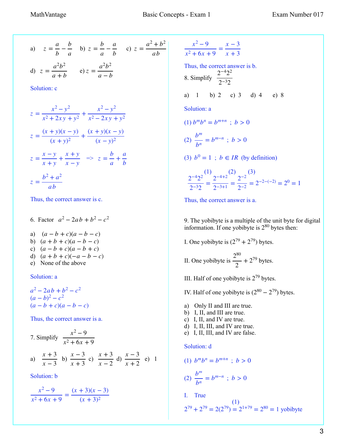a) 
$$
z = \frac{a}{b} - \frac{b}{a}
$$
 b)  $z = \frac{b}{a} - \frac{a}{b}$  c)  $z = \frac{a^2 + b^2}{ab}$   
d)  $z = \frac{a^2b^2}{a+b}$  e)  $z = \frac{a^2b^2}{a-b}$ 

Solution: c

$$
z = \frac{x^2 - y^2}{x^2 + 2xy + y^2} + \frac{x^2 - y^2}{x^2 - 2xy + y^2}
$$
  
\n
$$
z = \frac{(x + y)(x - y)}{(x + y)^2} + \frac{(x + y)(x - y)}{(x - y)^2}
$$
  
\n
$$
z = \frac{x - y}{x + y} + \frac{x + y}{x - y} \implies z = \frac{b}{a} + \frac{a}{b}
$$
  
\n
$$
z = \frac{b^2 + a^2}{ab}
$$

Thus, the correct answer is c.

6. Factor  $a^2 - 2ab + b^2 - c^2$ a)  $(a - b + c)(a - b - c)$ b)  $(a + b + c)(a - b - c)$ c)  $(a - b + c)(a - b + c)$ d)  $(a + b + c)(-a - b - c)$ e) None of the above

Solution: a

 $a^2 - 2ab + b^2 - c^2$  $(a - b)^2 - c^2$  $(a - b + c)(a - b - c)$ 

Thus, the correct answer is a.

7. Simplify 
$$
\frac{x^2 - 9}{x^2 + 6x + 9}
$$
  
a)  $\frac{x + 3}{x - 3}$  b)  $\frac{x - 3}{x + 3}$  c)  $\frac{x + 3}{x - 2}$  d)  $\frac{x - 3}{x + 2}$  e) 1

Solution: b

$$
\frac{x^2 - 9}{x^2 + 6x + 9} = \frac{(x + 3)(x - 3)}{(x + 3)^2}
$$

$$
\frac{x^2 - 9}{x^2 + 6x + 9} = \frac{x - 3}{x + 3}
$$
  
\nThus, the correct answer is b.  
\n8. Simplify  $\frac{2^{-4}2^2}{2^{-3}2}$   
\na) 1 b) 2 c) 3 d) 4 e) 8  
\nSolution: a  
\n(1)  $b^m b^n = b^{m+n}$ ;  $b > 0$   
\n(2)  $\frac{b^m}{b^n} = b^{m-n}$ ;  $b > 0$   
\n(3)  $b^0 = 1$ ;  $b \in IR$  (by definition)  
\n $\frac{2^{-4}2^2}{2^{-3}2} = \frac{2^{-4+2}}{2^{-3+1}} = \frac{2^{-2}}{2^{-2}} = 2^{-2-(-2)} = 2^0 = 1$ 

Thus, the correct answer is a.

9. The yobibyte is a multiple of the unit [byte](https://en.wikipedia.org/wiki/Byte) for digital information. If one yobibyte is  $2^{80}$  bytes then:

I. One yobibyte is  $(2^{79} + 2^{79})$  bytes.

II. One yobibyte is  $\frac{2^{80}}{2} + 2^{79}$  bytes. 2  $+2^{79}$ 

III. Half of one yobibyte is  $2^{79}$  bytes.

IV. Half of one yobibyte is  $(2^{80} – 2^{79})$  bytes.

- a) Only II and III are true.
- b) I, II, and III are true.
- c) I, II, and IV are true.
- d) I, II, III, and IV are true.
- e) I, II, III, and IV are false.

#### Solution: d

$$
(1) b^m b^n = b^{m+n} \; ; \; b > 0
$$

(2) 
$$
\frac{b^m}{b^n} = b^{m-n} \; ; \; b > 0
$$

I. True

$$
2^{79} + 2^{79} = 2(2^{79}) = 2^{1+79} = 2^{80} = 1
$$
 yobibyte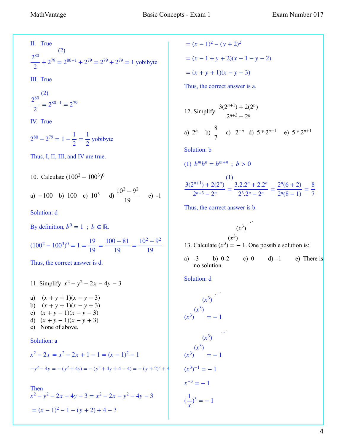II. True

 (2)  $\frac{2^{80}}{2} + 2^{79} = 2^{80-1} + 2^{79} = 2^{79} + 2^{79} = 1$  yobibyte 2  $+ 2^{79} = 2^{80-1} + 2^{79} = 2^{79} + 2^{79} =$ 

III. True

$$
\frac{2^{80}}{2}^{(2)} = 2^{80-1} = 2^{79}
$$

IV. True

$$
2^{80} - 2^{79} = 1 - \frac{1}{2} = \frac{1}{2}
$$
 yobibyte

Thus, I, II, III, and IV are true.

10. Calculate  $(100^2 - 100^3)^0$ 

a) -100 b) 100 c) 
$$
10^3
$$
 d)  $\frac{10^2 - 9^2}{19}$  e) -1

Solution: d

By definition,  $b^0 = 1$ ;  $b \in \mathbb{R}$ .

$$
(1002 - 1003)0 = 1 = \frac{19}{19} = \frac{100 - 81}{19} = \frac{102 - 92}{19}
$$

Thus, the correct answer is d.

11. Simplify  $x^2 - y^2 - 2x - 4y - 3$ a)  $(x + y + 1)(x - y - 3)$ b)  $(x + y + 1)(x - y + 3)$ c)  $(x + y - 1)(x - y - 3)$ d)  $(x + y - 1)(x - y + 3)$ e) None of above.

Solution: a

$$
x^{2}-2x = x^{2}-2x + 1 - 1 = (x - 1)^{2} - 1
$$
  

$$
-y^{2}-4y = -(y^{2} + 4y) = -(y^{2} + 4y + 4 - 4) = -(y + 2)^{2} + 4y + 4 - 4
$$

Then  

$$
x^2 - y^2 - 2x - 4y - 3 = x^2 - 2x - y^2 - 4y - 3
$$

$$
= (x - 1)^2 - 1 - (y + 2) + 4 - 3
$$

 $=(x-1)^2-(y+2)^2$  $=(x-1+y+2)(x-1-y-2)$  $=(x + y + 1)(x - y - 3)$ 

Thus, the correct answer is a.

12. Simplify 
$$
\frac{3(2^{n+1}) + 2(2^n)}{2^{n+3} - 2^n}
$$
  
\na)  $2^n$  b)  $\frac{8}{7}$  c)  $2^{-n}$  d)  $5 \times 2^{n-1}$  e)  $5 \times 2^{n+1}$   
\nSolution: b  
\n(1)  $b^m b^n = b^{m+n}$ ;  $b > 0$   
\n
$$
\frac{3(2^{n+1}) + 2(2^n)}{2^{n+3} - 2^n} = \frac{3 \cdot 2 \cdot 2^n + 2 \cdot 2^n}{2^3 \cdot 2^n - 2^n} = \frac{2^n (6+2)}{2^n (8-1)} = \frac{8}{7}
$$

Thus, the correct answer is b.

$$
(x^3)
$$
  
(x<sup>3</sup>)  
13. Calculate (x<sup>3</sup>) = -1. One possible solution is:

a)  $-3$  b)  $0-2$  c)  $0$  d)  $-1$  e) There is no solution.

Solution: d

$$
(x3)
$$
  
\n
$$
(x3)
$$
  
\n
$$
(x3)
$$
  
\n
$$
(x3)
$$
  
\n
$$
(x3)
$$
  
\n
$$
(x3)
$$
  
\n
$$
(x3)
$$
  
\n
$$
(x3)
$$
  
\n
$$
= -1
$$
  
\n
$$
(x3)-1 = -1
$$
  
\n
$$
x-3 = -1
$$
  
\n
$$
(\frac{1}{x})3 = -1
$$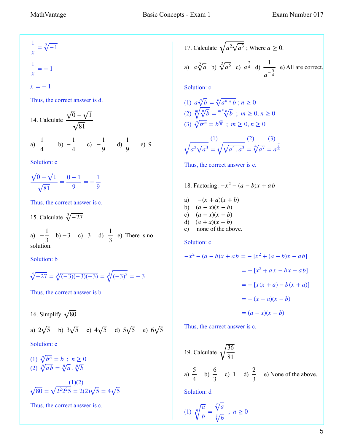$\frac{1}{x} = \sqrt[3]{-1}$ 1  $\frac{1}{x} = -1$  $x = -1$ 

Thus, the correct answer is d.

14. Calculate 
$$
\frac{\sqrt{0} - \sqrt{1}}{\sqrt{81}}
$$
  
a)  $\frac{1}{4}$  b)  $-\frac{1}{4}$  c)  $-\frac{1}{9}$  d)  $\frac{1}{9}$  e) 9

Solution: c

$$
\frac{\sqrt{0} - \sqrt{1}}{\sqrt{81}} = \frac{0 - 1}{9} = -\frac{1}{9}
$$

Thus, the correct answer is c.

15. Calculate  $\sqrt[3]{-27}$ 

a)  $-\frac{1}{2}$  b) -3 c) 3 d)  $\frac{1}{2}$  e) There is no solution.  $\frac{1}{3}$  b) -3 c) 3 1 3

Solution: b

$$
\sqrt[3]{-27} = \sqrt[3]{(-3)(-3)(-3)} = \sqrt[3]{(-3)^3} = -3
$$

Thus, the correct answer is b.

16. Simplify  $\sqrt{80}$ a) 2 $\sqrt{5}$  b) 3 $\sqrt{5}$  c) 4 $\sqrt{5}$  d) 5 $\sqrt{5}$  e) 6 $\sqrt{5}$ Solution: c

(1) 
$$
\sqrt[n]{b^n} = b ; n \ge 0
$$
  
(2) 
$$
\sqrt[n]{ab} = \sqrt[n]{a} . \sqrt[n]{b}
$$

$$
\sqrt{80} = \sqrt{2^2 2^2 5} = 2(2)\sqrt{5} = 4\sqrt{5}
$$

Thus, the correct answer is c.

17. Calculate 
$$
\sqrt{a^2 \sqrt{a^3}}
$$
; Where  $a \ge 0$ .

a) 
$$
a\sqrt[2]{a}
$$
 b)  $\sqrt[2]{a^5}$  c)  $a^{\frac{7}{4}}$  d)  $\frac{1}{a^{-\frac{5}{4}}}$  e) All are correct.

Solution: c

(1) 
$$
a\sqrt[n]{b} = \sqrt[n]{a^{n} \cdot b}
$$
;  $n \ge 0$   
\n(2)  $\sqrt[m]{\sqrt[n]{b}} = \sqrt[m^{n} \cdot \sqrt[n]{b}$ ;  $m \ge 0, n \ge 0$   
\n(3)  $\sqrt[n]{b^{m}} = b^{\frac{m}{n}}$ ;  $m \ge 0, n \ge 0$ 

$$
\sqrt{a^2 \sqrt{a^3}} = \sqrt{\sqrt{a^4 \cdot a^3}} = \sqrt[4]{a^7} = a^{\frac{7}{4}}
$$

Thus, the correct answer is c.

18. Factoring: 
$$
-x^2 - (a - b)x + ab
$$
  
\na)  $-(x + a)(x + b)$   
\nb)  $(a - x)(x - b)$   
\nc)  $(a - x)(x - b)$   
\nd)  $(a + x)(x - b)$   
\ne) none of the above.

Solution: c

$$
-x2 - (a - b)x + ab = -[x2 + (a - b)x - ab]
$$
  
= -[x<sup>2</sup> + ax - bx - ab]  
= -[x(x + a) - b(x + a)]  
= - (x + a)(x - b)  
= (a - x)(x - b)

Thus, the correct answer is c.

19. Calculate 
$$
\sqrt{\frac{36}{81}}
$$
  
a)  $\frac{5}{4}$  b)  $\frac{6}{3}$  c) 1 d)  $\frac{2}{3}$  e) None of the above.

Solution: d

$$
(1) \sqrt[n]{\frac{a}{b}} = \frac{\sqrt[n]{a}}{\sqrt[n]{b}} \; ; \; n \ge 0
$$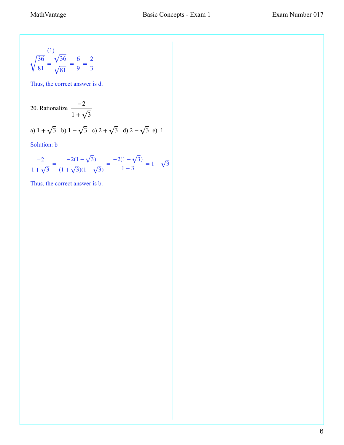$$
\sqrt{\frac{36}{81}} = \frac{\sqrt{36}}{\sqrt{81}} = \frac{6}{9} = \frac{2}{3}
$$

Thus, the correct answer is d.

20. Rationalize 
$$
\frac{-2}{1 + \sqrt{3}}
$$
  
a)  $1 + \sqrt{3}$  b)  $1 - \sqrt{3}$  c)  $2 + \sqrt{3}$  d)  $2 - \sqrt{3}$  e) 1

Solution: b

$$
\frac{-2}{1+\sqrt{3}} = \frac{-2(1-\sqrt{3})}{(1+\sqrt{3})(1-\sqrt{3})} = \frac{-2(1-\sqrt{3})}{1-3} = 1-\sqrt{3}
$$

Thus, the correct answer is b.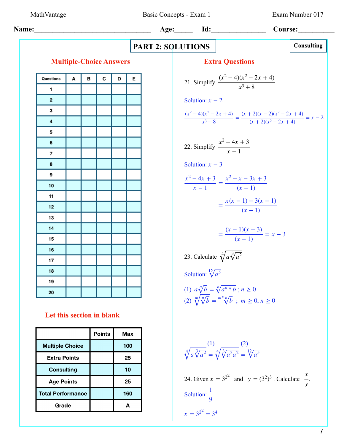MathVantage Basic Concepts - Exam 1 Exam Number 017

| Name:                     | Age:                                                                        | Id:                             | Course:                    |   |   |
|---------------------------|-----------------------------------------------------------------------------|---------------------------------|----------------------------|---|---|
| Multiple-Choice Answers   | Extra Questions                                                             | Consulting                      |                            |   |   |
| Question:                 | A                                                                           | B                               | C                          | D | E |
| 1                         | Solution:                                                                   | $x-2$                           |                            |   |   |
| 2                         | Solution:                                                                   | $x-2$                           |                            |   |   |
| 4                         | $(x^2-4)(x^2-2x+4)$                                                         | $(x^2-4)(x^2-2x+4)$             | $= x-2$                    |   |   |
| 5                         | $(x^2-4)(x^2-2x+4)$                                                         | $= (x+2)(x-2)(x^2-2x+4)$        | $= x-2$                    |   |   |
| 6                         | 22. Simplify $\frac{x^2-4x+3}{x-1}$                                         | $\frac{x^2-4x+3}{x-1}$          | $\frac{x^2-x-3x+3}{(x-1)}$ |   |   |
| 13                        | $\frac{x}{14}$                                                              | $= \frac{x(x-1)-3(x-1)}{(x-1)}$ |                            |   |   |
| 14                        | $= \frac{x(x-1)-3(x-1)}{(x-1)}$                                             | $= \frac{x(x-1)-3(x-1)}{(x-1)}$ |                            |   |   |
| 15                        | $= \frac{(x-1)(x-3)}{(x-1)} = x-3$                                          |                                 |                            |   |   |
| 16                        | Solution:                                                                   | $\sqrt[3]{a^5}$                 |                            |   |   |
| 19                        | 23. Calculate $\sqrt[3]{a\sqrt[3]{a^2}}$                                    |                                 |                            |   |   |
| 10                        | $\sqrt[3]{b} = \sqrt[3]{a\sqrt[3]{a^2}} = \sqrt[3]{b}$ ; $m \ge 0, n \ge 0$ |                                 |                            |   |   |
| Let this section in blank |                                                                             |                                 |                            |   |   |